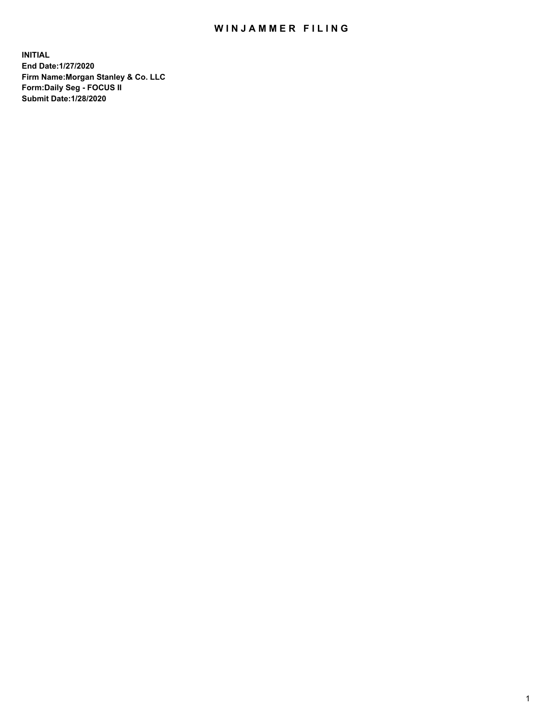## WIN JAMMER FILING

**INITIAL End Date:1/27/2020 Firm Name:Morgan Stanley & Co. LLC Form:Daily Seg - FOCUS II Submit Date:1/28/2020**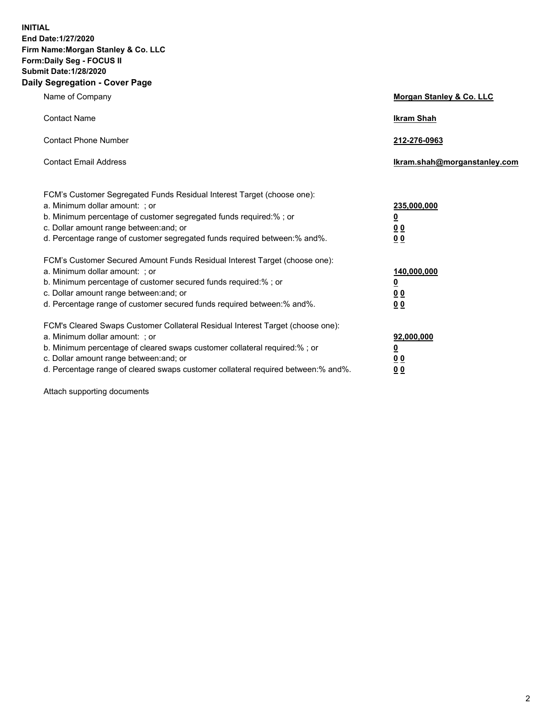**INITIAL End Date:1/27/2020 Firm Name:Morgan Stanley & Co. LLC Form:Daily Seg - FOCUS II Submit Date:1/28/2020 Daily Segregation - Cover Page**

| Name of Company                                                                   | Morgan Stanley & Co. LLC     |
|-----------------------------------------------------------------------------------|------------------------------|
| <b>Contact Name</b>                                                               | <b>Ikram Shah</b>            |
| <b>Contact Phone Number</b>                                                       | 212-276-0963                 |
| <b>Contact Email Address</b>                                                      | Ikram.shah@morganstanley.com |
| FCM's Customer Segregated Funds Residual Interest Target (choose one):            |                              |
| a. Minimum dollar amount: ; or                                                    | 235,000,000                  |
| b. Minimum percentage of customer segregated funds required:% ; or                | <u>0</u>                     |
| c. Dollar amount range between: and; or                                           | 0 <sub>0</sub>               |
| d. Percentage range of customer segregated funds required between: % and %.       | 0 <sub>0</sub>               |
| FCM's Customer Secured Amount Funds Residual Interest Target (choose one):        |                              |
| a. Minimum dollar amount: ; or                                                    | 140,000,000                  |
| b. Minimum percentage of customer secured funds required:%; or                    | <u>0</u>                     |
| c. Dollar amount range between: and; or                                           | 0 <sub>0</sub>               |
| d. Percentage range of customer secured funds required between:% and%.            | 0 <sub>0</sub>               |
| FCM's Cleared Swaps Customer Collateral Residual Interest Target (choose one):    |                              |
| a. Minimum dollar amount: ; or                                                    | 92,000,000                   |
| b. Minimum percentage of cleared swaps customer collateral required:% ; or        | <u>0</u>                     |
| c. Dollar amount range between: and; or                                           | <u>00</u>                    |
| d. Percentage range of cleared swaps customer collateral required between:% and%. | 00                           |

Attach supporting documents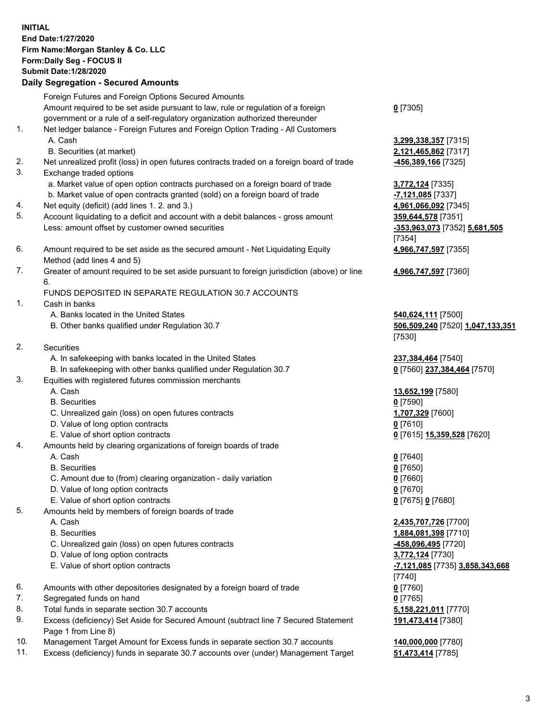| <b>INITIAL</b> | End Date: 1/27/2020<br>Firm Name: Morgan Stanley & Co. LLC<br>Form: Daily Seg - FOCUS II<br><b>Submit Date: 1/28/2020</b><br><b>Daily Segregation - Secured Amounts</b> |                                                   |
|----------------|-------------------------------------------------------------------------------------------------------------------------------------------------------------------------|---------------------------------------------------|
|                | Foreign Futures and Foreign Options Secured Amounts                                                                                                                     |                                                   |
|                | Amount required to be set aside pursuant to law, rule or regulation of a foreign<br>government or a rule of a self-regulatory organization authorized thereunder        | $0$ [7305]                                        |
| 1.             | Net ledger balance - Foreign Futures and Foreign Option Trading - All Customers                                                                                         |                                                   |
|                | A. Cash                                                                                                                                                                 | 3,299,338,357 [7315]                              |
|                | B. Securities (at market)                                                                                                                                               | 2,121,465,862 [7317]                              |
| 2.             | Net unrealized profit (loss) in open futures contracts traded on a foreign board of trade                                                                               | <u>-456,389,166</u> [7325]                        |
| 3.             | Exchange traded options                                                                                                                                                 |                                                   |
|                | a. Market value of open option contracts purchased on a foreign board of trade<br>b. Market value of open contracts granted (sold) on a foreign board of trade          | 3,772,124 [7335]<br>-7,121,085 [7337]             |
| 4.             | Net equity (deficit) (add lines 1.2. and 3.)                                                                                                                            | 4,961,066,092 [7345]                              |
| 5.             | Account liquidating to a deficit and account with a debit balances - gross amount                                                                                       | 359,644,578 [7351]                                |
|                | Less: amount offset by customer owned securities                                                                                                                        | -353,963,073 [7352] 5,681,505                     |
|                |                                                                                                                                                                         | [7354]                                            |
| 6.             | Amount required to be set aside as the secured amount - Net Liquidating Equity<br>Method (add lines 4 and 5)                                                            | 4,966,747,597 [7355]                              |
| 7.             | Greater of amount required to be set aside pursuant to foreign jurisdiction (above) or line<br>6.                                                                       | 4,966,747,597 [7360]                              |
|                | FUNDS DEPOSITED IN SEPARATE REGULATION 30.7 ACCOUNTS                                                                                                                    |                                                   |
| 1.             | Cash in banks                                                                                                                                                           |                                                   |
|                | A. Banks located in the United States                                                                                                                                   | 540,624,111 [7500]                                |
|                | B. Other banks qualified under Regulation 30.7                                                                                                                          | 506,509,240 [7520] 1,047,133,351                  |
|                |                                                                                                                                                                         | [7530]                                            |
| 2.             | Securities                                                                                                                                                              |                                                   |
|                | A. In safekeeping with banks located in the United States<br>B. In safekeeping with other banks qualified under Regulation 30.7                                         | 237,384,464 [7540]<br>0 [7560] 237,384,464 [7570] |
| 3.             | Equities with registered futures commission merchants                                                                                                                   |                                                   |
|                | A. Cash                                                                                                                                                                 | 13,652,199 [7580]                                 |
|                | <b>B.</b> Securities                                                                                                                                                    | $0$ [7590]                                        |
|                | C. Unrealized gain (loss) on open futures contracts                                                                                                                     | 1,707,329 [7600]                                  |
|                | D. Value of long option contracts                                                                                                                                       | $0$ [7610]                                        |
|                | E. Value of short option contracts                                                                                                                                      | 0 [7615] 15,359,528 [7620]                        |
| 4.             | Amounts held by clearing organizations of foreign boards of trade                                                                                                       |                                                   |
|                | A. Cash                                                                                                                                                                 | $0$ [7640]                                        |
|                | <b>B.</b> Securities                                                                                                                                                    | $0$ [7650]                                        |
|                | C. Amount due to (from) clearing organization - daily variation                                                                                                         | $0$ [7660]                                        |
|                | D. Value of long option contracts                                                                                                                                       | $0$ [7670]                                        |
| 5.             | E. Value of short option contracts                                                                                                                                      | 0 [7675] 0 [7680]                                 |
|                | Amounts held by members of foreign boards of trade<br>A. Cash                                                                                                           |                                                   |
|                | <b>B.</b> Securities                                                                                                                                                    | 2,435,707,726 [7700]<br>1,884,081,398 [7710]      |
|                | C. Unrealized gain (loss) on open futures contracts                                                                                                                     | -458,096,495 [7720]                               |
|                | D. Value of long option contracts                                                                                                                                       | 3,772,124 [7730]                                  |
|                | E. Value of short option contracts                                                                                                                                      | -7,121,085 [7735] 3,858,343,668                   |
|                |                                                                                                                                                                         | $[7740]$                                          |
| 6.             | Amounts with other depositories designated by a foreign board of trade                                                                                                  | $0$ [7760]                                        |
| 7.             | Segregated funds on hand                                                                                                                                                | $0$ [7765]                                        |
| 8.             | Total funds in separate section 30.7 accounts                                                                                                                           | 5,158,221,011 [7770]                              |
| 9.             | Excess (deficiency) Set Aside for Secured Amount (subtract line 7 Secured Statement<br>Page 1 from Line 8)                                                              | 191,473,414 [7380]                                |

- 10. Management Target Amount for Excess funds in separate section 30.7 accounts **140,000,000** [7780]
- 11. Excess (deficiency) funds in separate 30.7 accounts over (under) Management Target **51,473,414** [7785]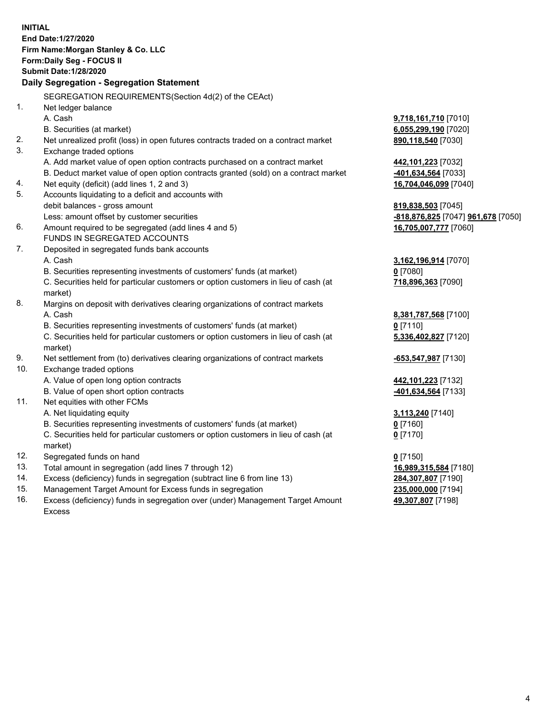| Form: Daily Seg - FOCUS II<br><b>Submit Date: 1/28/2020</b><br>Daily Segregation - Segregation Statement<br>SEGREGATION REQUIREMENTS (Section 4d(2) of the CEAct)<br>1.<br>Net ledger balance<br>A. Cash<br><b>9,718,161,710</b> [7010]<br>B. Securities (at market)<br>6,055,299,190 [7020]<br>2.<br>890,118,540 [7030]<br>Net unrealized profit (loss) in open futures contracts traded on a contract market<br>3.<br>Exchange traded options<br>A. Add market value of open option contracts purchased on a contract market<br>442,101,223 [7032]<br>B. Deduct market value of open option contracts granted (sold) on a contract market<br>401,634,564 [7033]<br>Net equity (deficit) (add lines 1, 2 and 3)<br>4.<br>16,704,046,099 [7040]<br>5.<br>Accounts liquidating to a deficit and accounts with<br>debit balances - gross amount<br>819,838,503 [7045]<br>Less: amount offset by customer securities<br>-818,876,825 [7047] 961,678 [7050]<br>6.<br>Amount required to be segregated (add lines 4 and 5)<br>16,705,007,777 [7060]<br>FUNDS IN SEGREGATED ACCOUNTS<br>7.<br>Deposited in segregated funds bank accounts<br>A. Cash<br><u>3,162,196,914</u> [7070]<br>B. Securities representing investments of customers' funds (at market)<br>0 [7080]<br>C. Securities held for particular customers or option customers in lieu of cash (at<br>718,896,363 [7090]<br>market)<br>8.<br>Margins on deposit with derivatives clearing organizations of contract markets<br>A. Cash<br>8,381,787,568 [7100]<br>B. Securities representing investments of customers' funds (at market)<br>$0$ [7110]<br>C. Securities held for particular customers or option customers in lieu of cash (at<br>5,336,402,827 [7120]<br>market)<br>9.<br>Net settlement from (to) derivatives clearing organizations of contract markets<br><u>-653,547,987</u> [7130]<br>10.<br>Exchange traded options<br>A. Value of open long option contracts<br><u>442,101,223</u> [7132]<br>B. Value of open short option contracts<br>-401,634,564 [7133]<br>11.<br>Net equities with other FCMs<br>A. Net liquidating equity<br><u>3,113,240</u> [7140]<br>B. Securities representing investments of customers' funds (at market)<br>$0$ [7160]<br>C. Securities held for particular customers or option customers in lieu of cash (at<br>0 <sup>[7170]</sup><br>market)<br>12.<br>Segregated funds on hand<br>$0$ [7150]<br>13.<br>Total amount in segregation (add lines 7 through 12)<br>16,989,315,584 [7180]<br>14.<br>Excess (deficiency) funds in segregation (subtract line 6 from line 13)<br><u>284,307,807</u> [7190]<br>15.<br>Management Target Amount for Excess funds in segregation<br>235,000,000 [7194] | <b>INITIAL</b> | End Date: 1/27/2020<br>Firm Name: Morgan Stanley & Co. LLC |  |
|-------------------------------------------------------------------------------------------------------------------------------------------------------------------------------------------------------------------------------------------------------------------------------------------------------------------------------------------------------------------------------------------------------------------------------------------------------------------------------------------------------------------------------------------------------------------------------------------------------------------------------------------------------------------------------------------------------------------------------------------------------------------------------------------------------------------------------------------------------------------------------------------------------------------------------------------------------------------------------------------------------------------------------------------------------------------------------------------------------------------------------------------------------------------------------------------------------------------------------------------------------------------------------------------------------------------------------------------------------------------------------------------------------------------------------------------------------------------------------------------------------------------------------------------------------------------------------------------------------------------------------------------------------------------------------------------------------------------------------------------------------------------------------------------------------------------------------------------------------------------------------------------------------------------------------------------------------------------------------------------------------------------------------------------------------------------------------------------------------------------------------------------------------------------------------------------------------------------------------------------------------------------------------------------------------------------------------------------------------------------------------------------------------------------------------------------------------------------------------------------------------------------------------------------------------------------------------------------------------------------------------------------------------------------------------------------------------------|----------------|------------------------------------------------------------|--|
|                                                                                                                                                                                                                                                                                                                                                                                                                                                                                                                                                                                                                                                                                                                                                                                                                                                                                                                                                                                                                                                                                                                                                                                                                                                                                                                                                                                                                                                                                                                                                                                                                                                                                                                                                                                                                                                                                                                                                                                                                                                                                                                                                                                                                                                                                                                                                                                                                                                                                                                                                                                                                                                                                                             |                |                                                            |  |
|                                                                                                                                                                                                                                                                                                                                                                                                                                                                                                                                                                                                                                                                                                                                                                                                                                                                                                                                                                                                                                                                                                                                                                                                                                                                                                                                                                                                                                                                                                                                                                                                                                                                                                                                                                                                                                                                                                                                                                                                                                                                                                                                                                                                                                                                                                                                                                                                                                                                                                                                                                                                                                                                                                             |                |                                                            |  |
|                                                                                                                                                                                                                                                                                                                                                                                                                                                                                                                                                                                                                                                                                                                                                                                                                                                                                                                                                                                                                                                                                                                                                                                                                                                                                                                                                                                                                                                                                                                                                                                                                                                                                                                                                                                                                                                                                                                                                                                                                                                                                                                                                                                                                                                                                                                                                                                                                                                                                                                                                                                                                                                                                                             |                |                                                            |  |
|                                                                                                                                                                                                                                                                                                                                                                                                                                                                                                                                                                                                                                                                                                                                                                                                                                                                                                                                                                                                                                                                                                                                                                                                                                                                                                                                                                                                                                                                                                                                                                                                                                                                                                                                                                                                                                                                                                                                                                                                                                                                                                                                                                                                                                                                                                                                                                                                                                                                                                                                                                                                                                                                                                             |                |                                                            |  |
|                                                                                                                                                                                                                                                                                                                                                                                                                                                                                                                                                                                                                                                                                                                                                                                                                                                                                                                                                                                                                                                                                                                                                                                                                                                                                                                                                                                                                                                                                                                                                                                                                                                                                                                                                                                                                                                                                                                                                                                                                                                                                                                                                                                                                                                                                                                                                                                                                                                                                                                                                                                                                                                                                                             |                |                                                            |  |
|                                                                                                                                                                                                                                                                                                                                                                                                                                                                                                                                                                                                                                                                                                                                                                                                                                                                                                                                                                                                                                                                                                                                                                                                                                                                                                                                                                                                                                                                                                                                                                                                                                                                                                                                                                                                                                                                                                                                                                                                                                                                                                                                                                                                                                                                                                                                                                                                                                                                                                                                                                                                                                                                                                             |                |                                                            |  |
|                                                                                                                                                                                                                                                                                                                                                                                                                                                                                                                                                                                                                                                                                                                                                                                                                                                                                                                                                                                                                                                                                                                                                                                                                                                                                                                                                                                                                                                                                                                                                                                                                                                                                                                                                                                                                                                                                                                                                                                                                                                                                                                                                                                                                                                                                                                                                                                                                                                                                                                                                                                                                                                                                                             |                |                                                            |  |
|                                                                                                                                                                                                                                                                                                                                                                                                                                                                                                                                                                                                                                                                                                                                                                                                                                                                                                                                                                                                                                                                                                                                                                                                                                                                                                                                                                                                                                                                                                                                                                                                                                                                                                                                                                                                                                                                                                                                                                                                                                                                                                                                                                                                                                                                                                                                                                                                                                                                                                                                                                                                                                                                                                             |                |                                                            |  |
|                                                                                                                                                                                                                                                                                                                                                                                                                                                                                                                                                                                                                                                                                                                                                                                                                                                                                                                                                                                                                                                                                                                                                                                                                                                                                                                                                                                                                                                                                                                                                                                                                                                                                                                                                                                                                                                                                                                                                                                                                                                                                                                                                                                                                                                                                                                                                                                                                                                                                                                                                                                                                                                                                                             |                |                                                            |  |
|                                                                                                                                                                                                                                                                                                                                                                                                                                                                                                                                                                                                                                                                                                                                                                                                                                                                                                                                                                                                                                                                                                                                                                                                                                                                                                                                                                                                                                                                                                                                                                                                                                                                                                                                                                                                                                                                                                                                                                                                                                                                                                                                                                                                                                                                                                                                                                                                                                                                                                                                                                                                                                                                                                             |                |                                                            |  |
|                                                                                                                                                                                                                                                                                                                                                                                                                                                                                                                                                                                                                                                                                                                                                                                                                                                                                                                                                                                                                                                                                                                                                                                                                                                                                                                                                                                                                                                                                                                                                                                                                                                                                                                                                                                                                                                                                                                                                                                                                                                                                                                                                                                                                                                                                                                                                                                                                                                                                                                                                                                                                                                                                                             |                |                                                            |  |
|                                                                                                                                                                                                                                                                                                                                                                                                                                                                                                                                                                                                                                                                                                                                                                                                                                                                                                                                                                                                                                                                                                                                                                                                                                                                                                                                                                                                                                                                                                                                                                                                                                                                                                                                                                                                                                                                                                                                                                                                                                                                                                                                                                                                                                                                                                                                                                                                                                                                                                                                                                                                                                                                                                             |                |                                                            |  |
|                                                                                                                                                                                                                                                                                                                                                                                                                                                                                                                                                                                                                                                                                                                                                                                                                                                                                                                                                                                                                                                                                                                                                                                                                                                                                                                                                                                                                                                                                                                                                                                                                                                                                                                                                                                                                                                                                                                                                                                                                                                                                                                                                                                                                                                                                                                                                                                                                                                                                                                                                                                                                                                                                                             |                |                                                            |  |
|                                                                                                                                                                                                                                                                                                                                                                                                                                                                                                                                                                                                                                                                                                                                                                                                                                                                                                                                                                                                                                                                                                                                                                                                                                                                                                                                                                                                                                                                                                                                                                                                                                                                                                                                                                                                                                                                                                                                                                                                                                                                                                                                                                                                                                                                                                                                                                                                                                                                                                                                                                                                                                                                                                             |                |                                                            |  |
|                                                                                                                                                                                                                                                                                                                                                                                                                                                                                                                                                                                                                                                                                                                                                                                                                                                                                                                                                                                                                                                                                                                                                                                                                                                                                                                                                                                                                                                                                                                                                                                                                                                                                                                                                                                                                                                                                                                                                                                                                                                                                                                                                                                                                                                                                                                                                                                                                                                                                                                                                                                                                                                                                                             |                |                                                            |  |
|                                                                                                                                                                                                                                                                                                                                                                                                                                                                                                                                                                                                                                                                                                                                                                                                                                                                                                                                                                                                                                                                                                                                                                                                                                                                                                                                                                                                                                                                                                                                                                                                                                                                                                                                                                                                                                                                                                                                                                                                                                                                                                                                                                                                                                                                                                                                                                                                                                                                                                                                                                                                                                                                                                             |                |                                                            |  |
|                                                                                                                                                                                                                                                                                                                                                                                                                                                                                                                                                                                                                                                                                                                                                                                                                                                                                                                                                                                                                                                                                                                                                                                                                                                                                                                                                                                                                                                                                                                                                                                                                                                                                                                                                                                                                                                                                                                                                                                                                                                                                                                                                                                                                                                                                                                                                                                                                                                                                                                                                                                                                                                                                                             |                |                                                            |  |
|                                                                                                                                                                                                                                                                                                                                                                                                                                                                                                                                                                                                                                                                                                                                                                                                                                                                                                                                                                                                                                                                                                                                                                                                                                                                                                                                                                                                                                                                                                                                                                                                                                                                                                                                                                                                                                                                                                                                                                                                                                                                                                                                                                                                                                                                                                                                                                                                                                                                                                                                                                                                                                                                                                             |                |                                                            |  |
|                                                                                                                                                                                                                                                                                                                                                                                                                                                                                                                                                                                                                                                                                                                                                                                                                                                                                                                                                                                                                                                                                                                                                                                                                                                                                                                                                                                                                                                                                                                                                                                                                                                                                                                                                                                                                                                                                                                                                                                                                                                                                                                                                                                                                                                                                                                                                                                                                                                                                                                                                                                                                                                                                                             |                |                                                            |  |
|                                                                                                                                                                                                                                                                                                                                                                                                                                                                                                                                                                                                                                                                                                                                                                                                                                                                                                                                                                                                                                                                                                                                                                                                                                                                                                                                                                                                                                                                                                                                                                                                                                                                                                                                                                                                                                                                                                                                                                                                                                                                                                                                                                                                                                                                                                                                                                                                                                                                                                                                                                                                                                                                                                             |                |                                                            |  |
|                                                                                                                                                                                                                                                                                                                                                                                                                                                                                                                                                                                                                                                                                                                                                                                                                                                                                                                                                                                                                                                                                                                                                                                                                                                                                                                                                                                                                                                                                                                                                                                                                                                                                                                                                                                                                                                                                                                                                                                                                                                                                                                                                                                                                                                                                                                                                                                                                                                                                                                                                                                                                                                                                                             |                |                                                            |  |
|                                                                                                                                                                                                                                                                                                                                                                                                                                                                                                                                                                                                                                                                                                                                                                                                                                                                                                                                                                                                                                                                                                                                                                                                                                                                                                                                                                                                                                                                                                                                                                                                                                                                                                                                                                                                                                                                                                                                                                                                                                                                                                                                                                                                                                                                                                                                                                                                                                                                                                                                                                                                                                                                                                             |                |                                                            |  |
|                                                                                                                                                                                                                                                                                                                                                                                                                                                                                                                                                                                                                                                                                                                                                                                                                                                                                                                                                                                                                                                                                                                                                                                                                                                                                                                                                                                                                                                                                                                                                                                                                                                                                                                                                                                                                                                                                                                                                                                                                                                                                                                                                                                                                                                                                                                                                                                                                                                                                                                                                                                                                                                                                                             |                |                                                            |  |
|                                                                                                                                                                                                                                                                                                                                                                                                                                                                                                                                                                                                                                                                                                                                                                                                                                                                                                                                                                                                                                                                                                                                                                                                                                                                                                                                                                                                                                                                                                                                                                                                                                                                                                                                                                                                                                                                                                                                                                                                                                                                                                                                                                                                                                                                                                                                                                                                                                                                                                                                                                                                                                                                                                             |                |                                                            |  |
|                                                                                                                                                                                                                                                                                                                                                                                                                                                                                                                                                                                                                                                                                                                                                                                                                                                                                                                                                                                                                                                                                                                                                                                                                                                                                                                                                                                                                                                                                                                                                                                                                                                                                                                                                                                                                                                                                                                                                                                                                                                                                                                                                                                                                                                                                                                                                                                                                                                                                                                                                                                                                                                                                                             |                |                                                            |  |
|                                                                                                                                                                                                                                                                                                                                                                                                                                                                                                                                                                                                                                                                                                                                                                                                                                                                                                                                                                                                                                                                                                                                                                                                                                                                                                                                                                                                                                                                                                                                                                                                                                                                                                                                                                                                                                                                                                                                                                                                                                                                                                                                                                                                                                                                                                                                                                                                                                                                                                                                                                                                                                                                                                             |                |                                                            |  |
|                                                                                                                                                                                                                                                                                                                                                                                                                                                                                                                                                                                                                                                                                                                                                                                                                                                                                                                                                                                                                                                                                                                                                                                                                                                                                                                                                                                                                                                                                                                                                                                                                                                                                                                                                                                                                                                                                                                                                                                                                                                                                                                                                                                                                                                                                                                                                                                                                                                                                                                                                                                                                                                                                                             |                |                                                            |  |
|                                                                                                                                                                                                                                                                                                                                                                                                                                                                                                                                                                                                                                                                                                                                                                                                                                                                                                                                                                                                                                                                                                                                                                                                                                                                                                                                                                                                                                                                                                                                                                                                                                                                                                                                                                                                                                                                                                                                                                                                                                                                                                                                                                                                                                                                                                                                                                                                                                                                                                                                                                                                                                                                                                             |                |                                                            |  |
|                                                                                                                                                                                                                                                                                                                                                                                                                                                                                                                                                                                                                                                                                                                                                                                                                                                                                                                                                                                                                                                                                                                                                                                                                                                                                                                                                                                                                                                                                                                                                                                                                                                                                                                                                                                                                                                                                                                                                                                                                                                                                                                                                                                                                                                                                                                                                                                                                                                                                                                                                                                                                                                                                                             |                |                                                            |  |
|                                                                                                                                                                                                                                                                                                                                                                                                                                                                                                                                                                                                                                                                                                                                                                                                                                                                                                                                                                                                                                                                                                                                                                                                                                                                                                                                                                                                                                                                                                                                                                                                                                                                                                                                                                                                                                                                                                                                                                                                                                                                                                                                                                                                                                                                                                                                                                                                                                                                                                                                                                                                                                                                                                             |                |                                                            |  |
|                                                                                                                                                                                                                                                                                                                                                                                                                                                                                                                                                                                                                                                                                                                                                                                                                                                                                                                                                                                                                                                                                                                                                                                                                                                                                                                                                                                                                                                                                                                                                                                                                                                                                                                                                                                                                                                                                                                                                                                                                                                                                                                                                                                                                                                                                                                                                                                                                                                                                                                                                                                                                                                                                                             |                |                                                            |  |
|                                                                                                                                                                                                                                                                                                                                                                                                                                                                                                                                                                                                                                                                                                                                                                                                                                                                                                                                                                                                                                                                                                                                                                                                                                                                                                                                                                                                                                                                                                                                                                                                                                                                                                                                                                                                                                                                                                                                                                                                                                                                                                                                                                                                                                                                                                                                                                                                                                                                                                                                                                                                                                                                                                             |                |                                                            |  |
|                                                                                                                                                                                                                                                                                                                                                                                                                                                                                                                                                                                                                                                                                                                                                                                                                                                                                                                                                                                                                                                                                                                                                                                                                                                                                                                                                                                                                                                                                                                                                                                                                                                                                                                                                                                                                                                                                                                                                                                                                                                                                                                                                                                                                                                                                                                                                                                                                                                                                                                                                                                                                                                                                                             |                |                                                            |  |
|                                                                                                                                                                                                                                                                                                                                                                                                                                                                                                                                                                                                                                                                                                                                                                                                                                                                                                                                                                                                                                                                                                                                                                                                                                                                                                                                                                                                                                                                                                                                                                                                                                                                                                                                                                                                                                                                                                                                                                                                                                                                                                                                                                                                                                                                                                                                                                                                                                                                                                                                                                                                                                                                                                             |                |                                                            |  |
|                                                                                                                                                                                                                                                                                                                                                                                                                                                                                                                                                                                                                                                                                                                                                                                                                                                                                                                                                                                                                                                                                                                                                                                                                                                                                                                                                                                                                                                                                                                                                                                                                                                                                                                                                                                                                                                                                                                                                                                                                                                                                                                                                                                                                                                                                                                                                                                                                                                                                                                                                                                                                                                                                                             |                |                                                            |  |
|                                                                                                                                                                                                                                                                                                                                                                                                                                                                                                                                                                                                                                                                                                                                                                                                                                                                                                                                                                                                                                                                                                                                                                                                                                                                                                                                                                                                                                                                                                                                                                                                                                                                                                                                                                                                                                                                                                                                                                                                                                                                                                                                                                                                                                                                                                                                                                                                                                                                                                                                                                                                                                                                                                             |                |                                                            |  |
|                                                                                                                                                                                                                                                                                                                                                                                                                                                                                                                                                                                                                                                                                                                                                                                                                                                                                                                                                                                                                                                                                                                                                                                                                                                                                                                                                                                                                                                                                                                                                                                                                                                                                                                                                                                                                                                                                                                                                                                                                                                                                                                                                                                                                                                                                                                                                                                                                                                                                                                                                                                                                                                                                                             |                |                                                            |  |

16. Excess (deficiency) funds in segregation over (under) Management Target Amount Excess

**49,307,807** [7198]